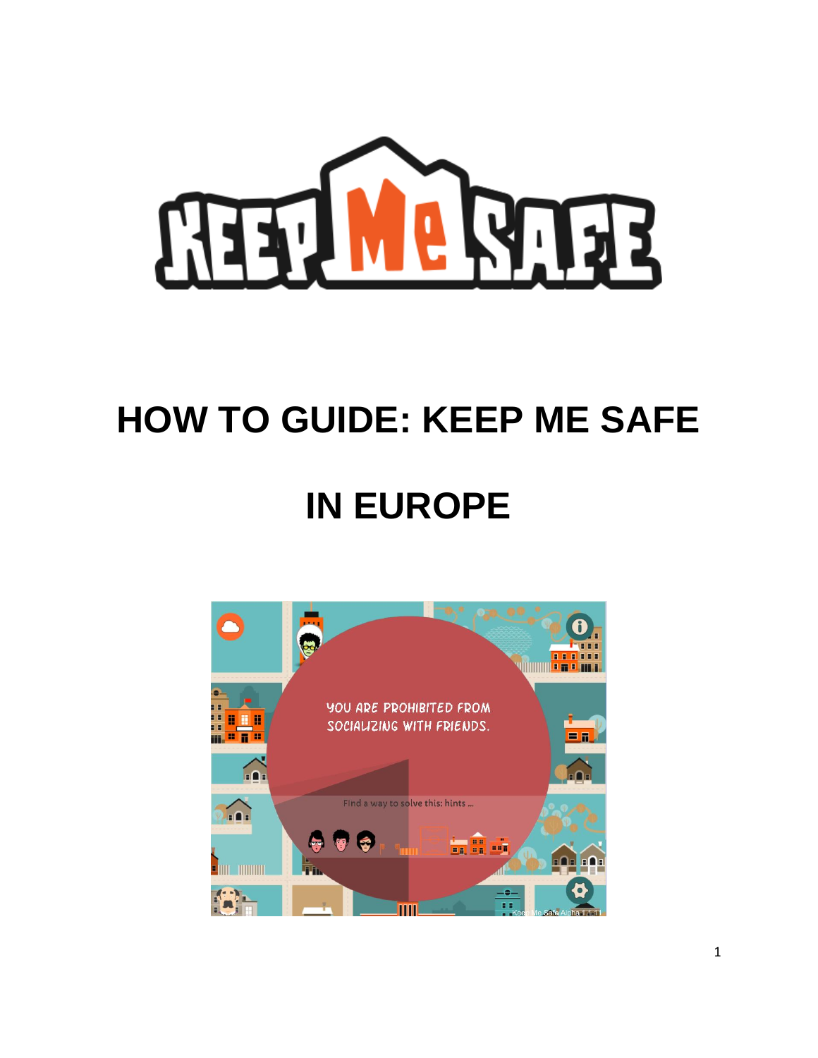

# **HOW TO GUIDE: KEEP ME SAFE**

# **IN EUROPE**

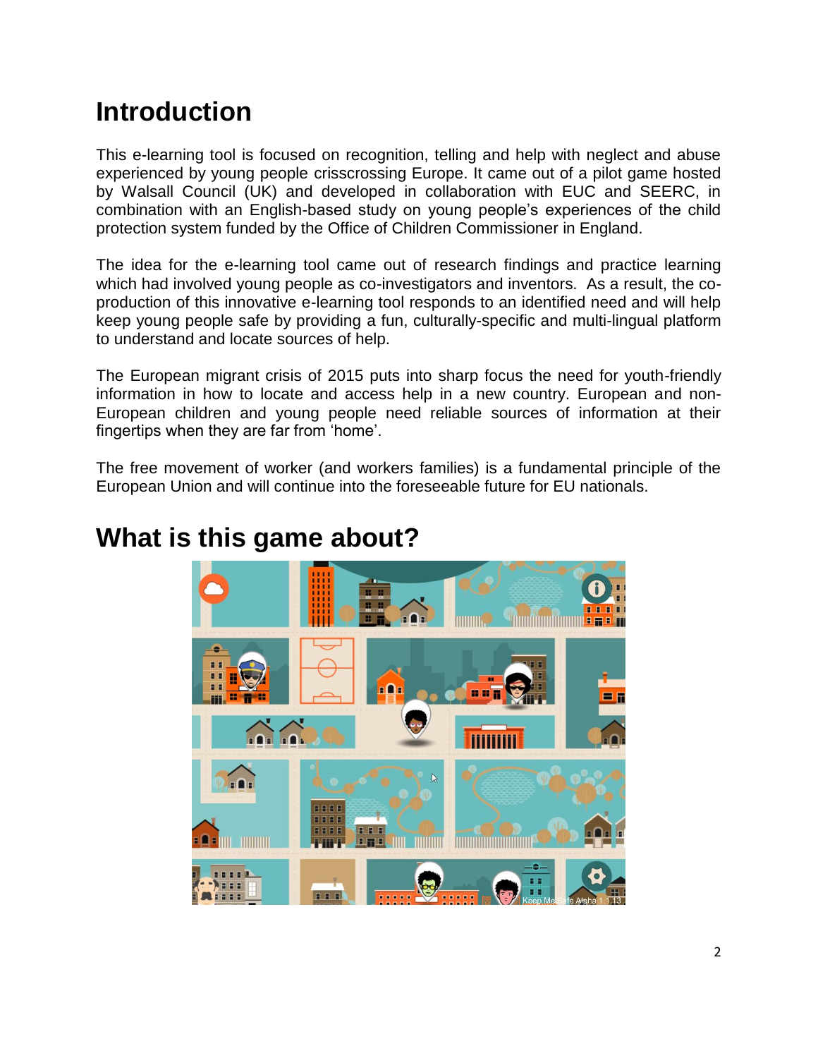# **Introduction**

This e-learning tool is focused on recognition, telling and help with neglect and abuse experienced by young people crisscrossing Europe. It came out of a pilot game hosted by Walsall Council (UK) and developed in collaboration with EUC and SEERC, in combination with an English-based study on young people's experiences of the child protection system funded by the Office of Children Commissioner in England.

The idea for the e-learning tool came out of research findings and practice learning which had involved young people as co-investigators and inventors. As a result, the coproduction of this innovative e-learning tool responds to an identified need and will help keep young people safe by providing a fun, culturally-specific and multi-lingual platform to understand and locate sources of help.

The European migrant crisis of 2015 puts into sharp focus the need for youth-friendly information in how to locate and access help in a new country. European and non-European children and young people need reliable sources of information at their fingertips when they are far from 'home'.

The free movement of worker (and workers families) is a fundamental principle of the European Union and will continue into the foreseeable future for EU nationals.

### **What is this game about?**

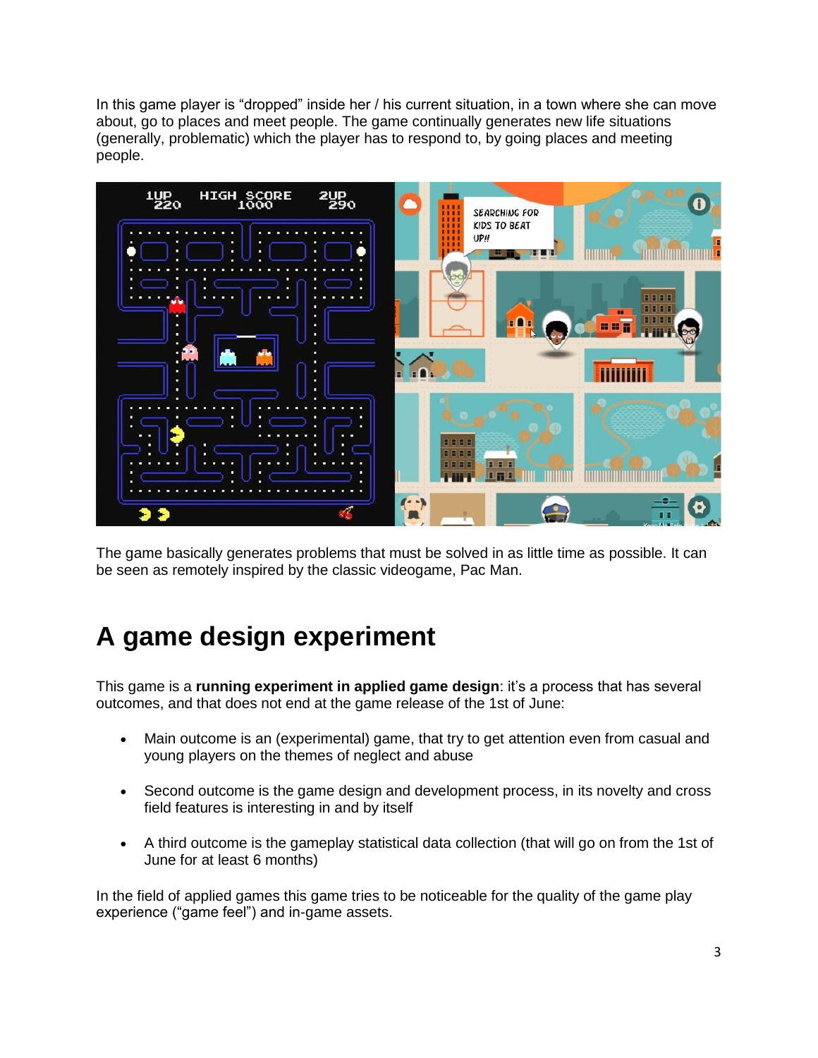In this game player is "dropped" inside her / his current situation, in a town where she can move about, go to places and meet people. The game continually generates new life situations (generally, problematic) which the player has to respond to, by going places and meeting people.



The game basically generates problems that must be solved in as little time as possible. It can be seen as remotely inspired by the classic videogame, Pac Man.

# **A game design experiment**

This game is a **running experiment in applied game design**: it's a process that has several outcomes, and that does not end at the game release of the 1st of June:

- Main outcome is an (experimental) game, that try to get attention even from casual and young players on the themes of neglect and abuse
- Second outcome is the game design and development process, in its novelty and cross field features is interesting in and by itself
- A third outcome is the gameplay statistical data collection (that will go on from the 1st of June for at least 6 months)

In the field of applied games this game tries to be noticeable for the quality of the game play experience ("game feel") and in-game assets.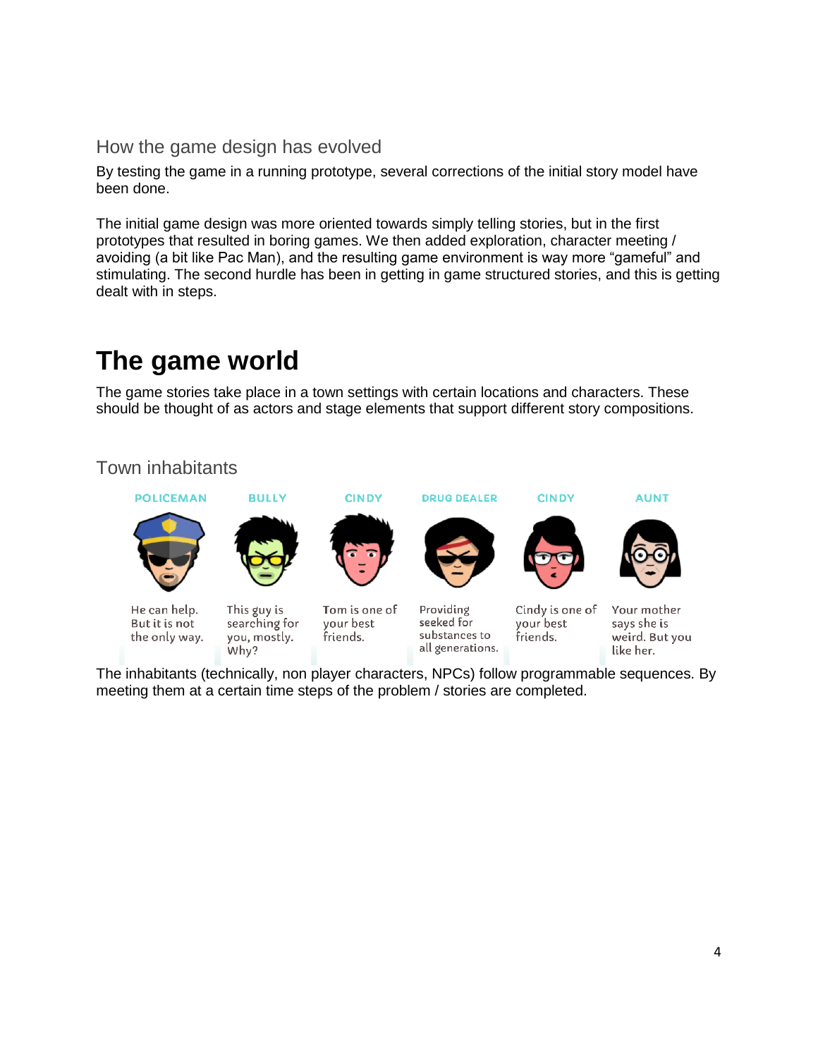### How the game design has evolved

By testing the game in a running prototype, several corrections of the initial story model have been done.

The initial game design was more oriented towards simply telling stories, but in the first prototypes that resulted in boring games. We then added exploration, character meeting / avoiding (a bit like Pac Man), and the resulting game environment is way more "gameful" and stimulating. The second hurdle has been in getting in game structured stories, and this is getting dealt with in steps.

# **The game world**

The game stories take place in a town settings with certain locations and characters. These should be thought of as actors and stage elements that support different story compositions.

### Town inhabitants



The inhabitants (technically, non player characters, NPCs) follow programmable sequences. By meeting them at a certain time steps of the problem / stories are completed.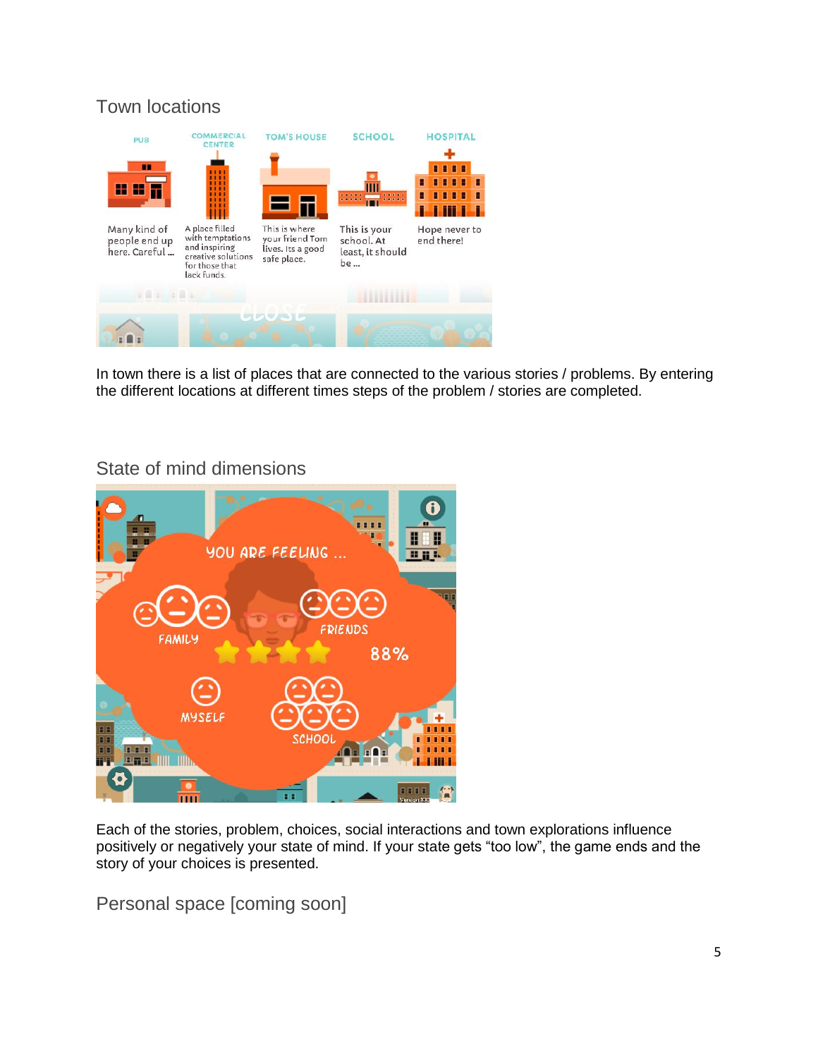### Town locations



In town there is a list of places that are connected to the various stories / problems. By entering the different locations at different times steps of the problem / stories are completed.

### State of mind dimensions



Each of the stories, problem, choices, social interactions and town explorations influence positively or negatively your state of mind. If your state gets "too low", the game ends and the story of your choices is presented.

Personal space [coming soon]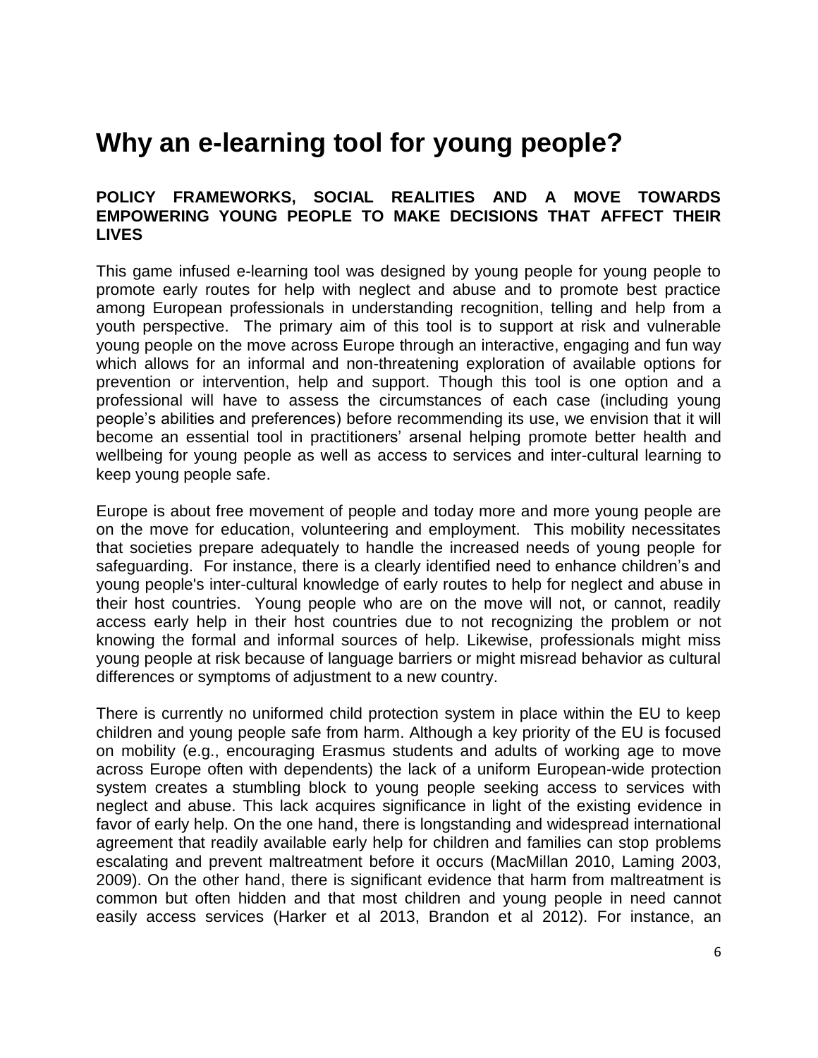### **Why an e-learning tool for young people?**

#### **POLICY FRAMEWORKS, SOCIAL REALITIES AND A MOVE TOWARDS EMPOWERING YOUNG PEOPLE TO MAKE DECISIONS THAT AFFECT THEIR LIVES**

This game infused e-learning tool was designed by young people for young people to promote early routes for help with neglect and abuse and to promote best practice among European professionals in understanding recognition, telling and help from a youth perspective. The primary aim of this tool is to support at risk and vulnerable young people on the move across Europe through an interactive, engaging and fun way which allows for an informal and non-threatening exploration of available options for prevention or intervention, help and support. Though this tool is one option and a professional will have to assess the circumstances of each case (including young people's abilities and preferences) before recommending its use, we envision that it will become an essential tool in practitioners' arsenal helping promote better health and wellbeing for young people as well as access to services and inter-cultural learning to keep young people safe.

Europe is about free movement of people and today more and more young people are on the move for education, volunteering and employment. This mobility necessitates that societies prepare adequately to handle the increased needs of young people for safeguarding. For instance, there is a clearly identified need to enhance children's and young people's inter-cultural knowledge of early routes to help for neglect and abuse in their host countries. Young people who are on the move will not, or cannot, readily access early help in their host countries due to not recognizing the problem or not knowing the formal and informal sources of help. Likewise, professionals might miss young people at risk because of language barriers or might misread behavior as cultural differences or symptoms of adjustment to a new country.

There is currently no uniformed child protection system in place within the EU to keep children and young people safe from harm. Although a key priority of the EU is focused on mobility (e.g., encouraging Erasmus students and adults of working age to move across Europe often with dependents) the lack of a uniform European-wide protection system creates a stumbling block to young people seeking access to services with neglect and abuse. This lack acquires significance in light of the existing evidence in favor of early help. On the one hand, there is longstanding and widespread international agreement that readily available early help for children and families can stop problems escalating and prevent maltreatment before it occurs (MacMillan 2010, Laming 2003, 2009). On the other hand, there is significant evidence that harm from maltreatment is common but often hidden and that most children and young people in need cannot easily access services (Harker et al 2013, Brandon et al 2012). For instance, an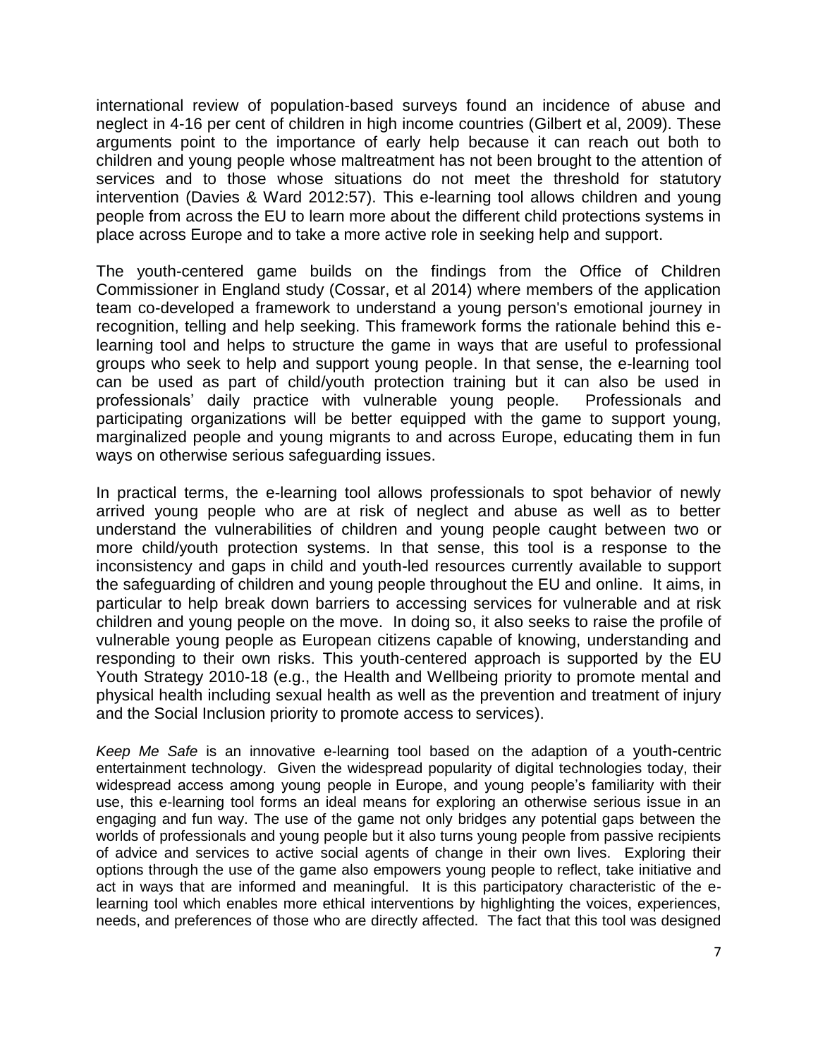international review of population-based surveys found an incidence of abuse and neglect in 4-16 per cent of children in high income countries (Gilbert et al, 2009). These arguments point to the importance of early help because it can reach out both to children and young people whose maltreatment has not been brought to the attention of services and to those whose situations do not meet the threshold for statutory intervention (Davies & Ward 2012:57). This e-learning tool allows children and young people from across the EU to learn more about the different child protections systems in place across Europe and to take a more active role in seeking help and support.

The youth-centered game builds on the findings from the Office of Children Commissioner in England study (Cossar, et al 2014) where members of the application team co-developed a framework to understand a young person's emotional journey in recognition, telling and help seeking. This framework forms the rationale behind this elearning tool and helps to structure the game in ways that are useful to professional groups who seek to help and support young people. In that sense, the e-learning tool can be used as part of child/youth protection training but it can also be used in professionals' daily practice with vulnerable young people. Professionals and participating organizations will be better equipped with the game to support young, marginalized people and young migrants to and across Europe, educating them in fun ways on otherwise serious safeguarding issues.

In practical terms, the e-learning tool allows professionals to spot behavior of newly arrived young people who are at risk of neglect and abuse as well as to better understand the vulnerabilities of children and young people caught between two or more child/youth protection systems. In that sense, this tool is a response to the inconsistency and gaps in child and youth-led resources currently available to support the safeguarding of children and young people throughout the EU and online. It aims, in particular to help break down barriers to accessing services for vulnerable and at risk children and young people on the move. In doing so, it also seeks to raise the profile of vulnerable young people as European citizens capable of knowing, understanding and responding to their own risks. This youth-centered approach is supported by the EU Youth Strategy 2010-18 (e.g., the Health and Wellbeing priority to promote mental and physical health including sexual health as well as the prevention and treatment of injury and the Social Inclusion priority to promote access to services).

*Keep Me Safe* is an innovative e-learning tool based on the adaption of a youth-centric entertainment technology. Given the widespread popularity of digital technologies today, their widespread access among young people in Europe, and young people's familiarity with their use, this e-learning tool forms an ideal means for exploring an otherwise serious issue in an engaging and fun way. The use of the game not only bridges any potential gaps between the worlds of professionals and young people but it also turns young people from passive recipients of advice and services to active social agents of change in their own lives. Exploring their options through the use of the game also empowers young people to reflect, take initiative and act in ways that are informed and meaningful. It is this participatory characteristic of the elearning tool which enables more ethical interventions by highlighting the voices, experiences, needs, and preferences of those who are directly affected. The fact that this tool was designed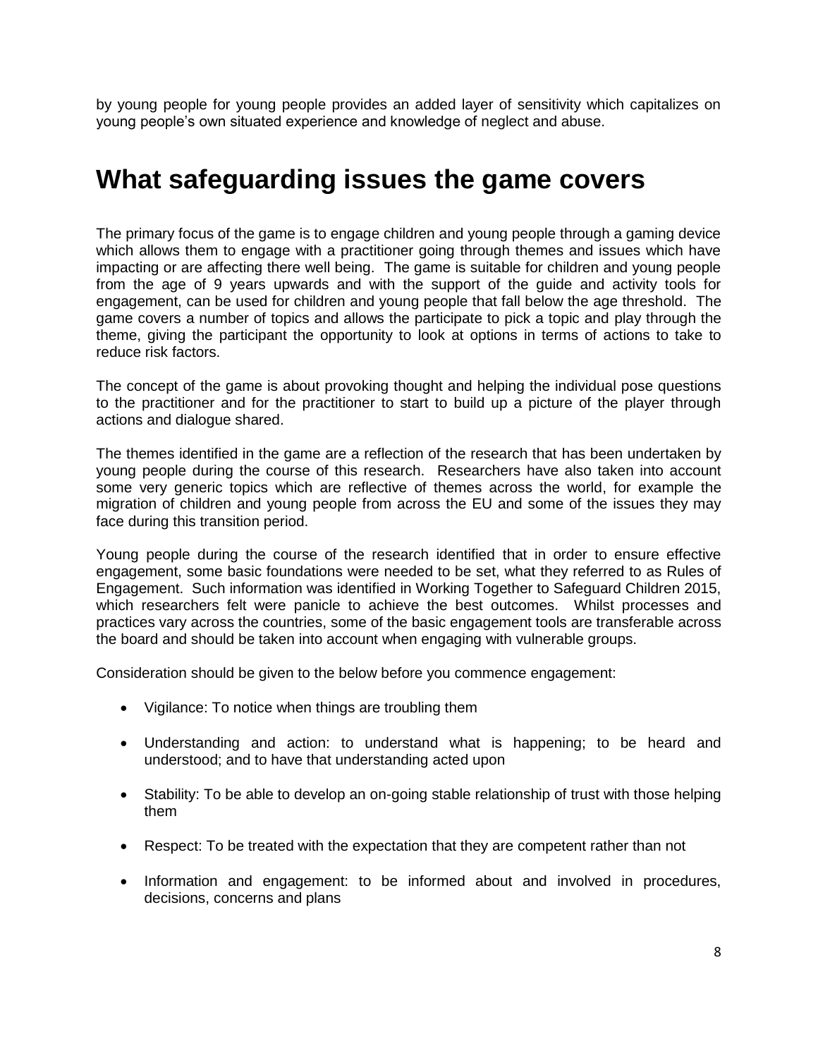by young people for young people provides an added layer of sensitivity which capitalizes on young people's own situated experience and knowledge of neglect and abuse.

### **What safeguarding issues the game covers**

The primary focus of the game is to engage children and young people through a gaming device which allows them to engage with a practitioner going through themes and issues which have impacting or are affecting there well being. The game is suitable for children and young people from the age of 9 years upwards and with the support of the guide and activity tools for engagement, can be used for children and young people that fall below the age threshold. The game covers a number of topics and allows the participate to pick a topic and play through the theme, giving the participant the opportunity to look at options in terms of actions to take to reduce risk factors.

The concept of the game is about provoking thought and helping the individual pose questions to the practitioner and for the practitioner to start to build up a picture of the player through actions and dialogue shared.

The themes identified in the game are a reflection of the research that has been undertaken by young people during the course of this research. Researchers have also taken into account some very generic topics which are reflective of themes across the world, for example the migration of children and young people from across the EU and some of the issues they may face during this transition period.

Young people during the course of the research identified that in order to ensure effective engagement, some basic foundations were needed to be set, what they referred to as Rules of Engagement. Such information was identified in Working Together to Safeguard Children 2015, which researchers felt were panicle to achieve the best outcomes. Whilst processes and practices vary across the countries, some of the basic engagement tools are transferable across the board and should be taken into account when engaging with vulnerable groups.

Consideration should be given to the below before you commence engagement:

- Vigilance: To notice when things are troubling them
- Understanding and action: to understand what is happening; to be heard and understood; and to have that understanding acted upon
- Stability: To be able to develop an on-going stable relationship of trust with those helping them
- Respect: To be treated with the expectation that they are competent rather than not
- Information and engagement: to be informed about and involved in procedures, decisions, concerns and plans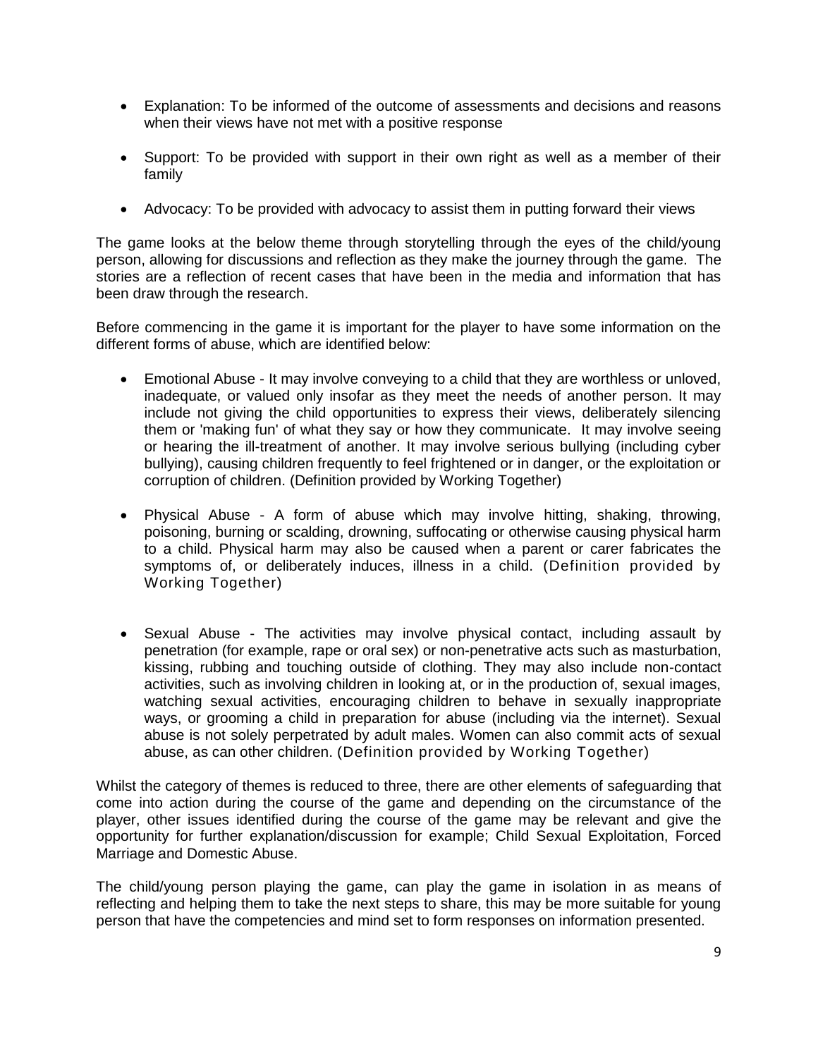- Explanation: To be informed of the outcome of assessments and decisions and reasons when their views have not met with a positive response
- Support: To be provided with support in their own right as well as a member of their family
- Advocacy: To be provided with advocacy to assist them in putting forward their views

The game looks at the below theme through storytelling through the eyes of the child/young person, allowing for discussions and reflection as they make the journey through the game. The stories are a reflection of recent cases that have been in the media and information that has been draw through the research.

Before commencing in the game it is important for the player to have some information on the different forms of abuse, which are identified below:

- Emotional Abuse It may involve conveying to a child that they are worthless or unloved, inadequate, or valued only insofar as they meet the needs of another person. It may include not giving the child opportunities to express their views, deliberately silencing them or 'making fun' of what they say or how they communicate. It may involve seeing or hearing the ill-treatment of another. It may involve serious bullying (including cyber bullying), causing children frequently to feel frightened or in danger, or the exploitation or corruption of children. (Definition provided by Working Together)
- Physical Abuse A form of abuse which may involve hitting, shaking, throwing, poisoning, burning or scalding, drowning, suffocating or otherwise causing physical harm to a child. Physical harm may also be caused when a parent or carer fabricates the symptoms of, or deliberately induces, illness in a child. (Definition provided by Working Together)
- Sexual Abuse The activities may involve physical contact, including assault by penetration (for example, rape or oral sex) or non-penetrative acts such as masturbation, kissing, rubbing and touching outside of clothing. They may also include non-contact activities, such as involving children in looking at, or in the production of, sexual images, watching sexual activities, encouraging children to behave in sexually inappropriate ways, or grooming a child in preparation for abuse (including via the internet). Sexual abuse is not solely perpetrated by adult males. Women can also commit acts of sexual abuse, as can other children. (Definition provided by Working Together)

Whilst the category of themes is reduced to three, there are other elements of safeguarding that come into action during the course of the game and depending on the circumstance of the player, other issues identified during the course of the game may be relevant and give the opportunity for further explanation/discussion for example; Child Sexual Exploitation, Forced Marriage and Domestic Abuse.

The child/young person playing the game, can play the game in isolation in as means of reflecting and helping them to take the next steps to share, this may be more suitable for young person that have the competencies and mind set to form responses on information presented.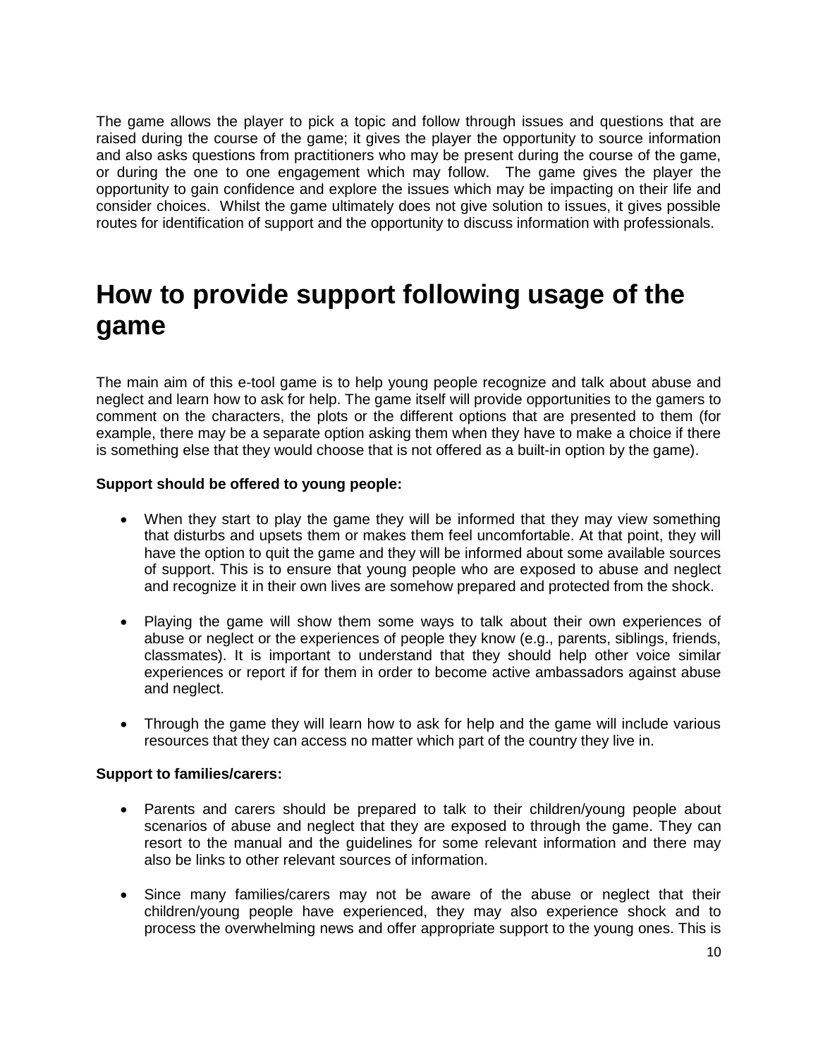The game allows the player to pick a topic and follow through issues and questions that are raised during the course of the game; it gives the player the opportunity to source information and also asks questions from practitioners who may be present during the course of the game, or during the one to one engagement which may follow. The game gives the player the opportunity to gain confidence and explore the issues which may be impacting on their life and consider choices. Whilst the game ultimately does not give solution to issues, it gives possible routes for identification of support and the opportunity to discuss information with professionals.

### **How to provide support following usage of the game**

The main aim of this e-tool game is to help young people recognize and talk about abuse and neglect and learn how to ask for help. The game itself will provide opportunities to the gamers to comment on the characters, the plots or the different options that are presented to them (for example, there may be a separate option asking them when they have to make a choice if there is something else that they would choose that is not offered as a built-in option by the game).

#### **Support should be offered to young people:**

- When they start to play the game they will be informed that they may view something that disturbs and upsets them or makes them feel uncomfortable. At that point, they will have the option to quit the game and they will be informed about some available sources of support. This is to ensure that young people who are exposed to abuse and neglect and recognize it in their own lives are somehow prepared and protected from the shock.
- Playing the game will show them some ways to talk about their own experiences of abuse or neglect or the experiences of people they know (e.g., parents, siblings, friends, classmates). It is important to understand that they should help other voice similar experiences or report if for them in order to become active ambassadors against abuse and neglect.
- Through the game they will learn how to ask for help and the game will include various resources that they can access no matter which part of the country they live in.

#### **Support to families/carers:**

- Parents and carers should be prepared to talk to their children/young people about scenarios of abuse and neglect that they are exposed to through the game. They can resort to the manual and the guidelines for some relevant information and there may also be links to other relevant sources of information.
- Since many families/carers may not be aware of the abuse or neglect that their children/young people have experienced, they may also experience shock and to process the overwhelming news and offer appropriate support to the young ones. This is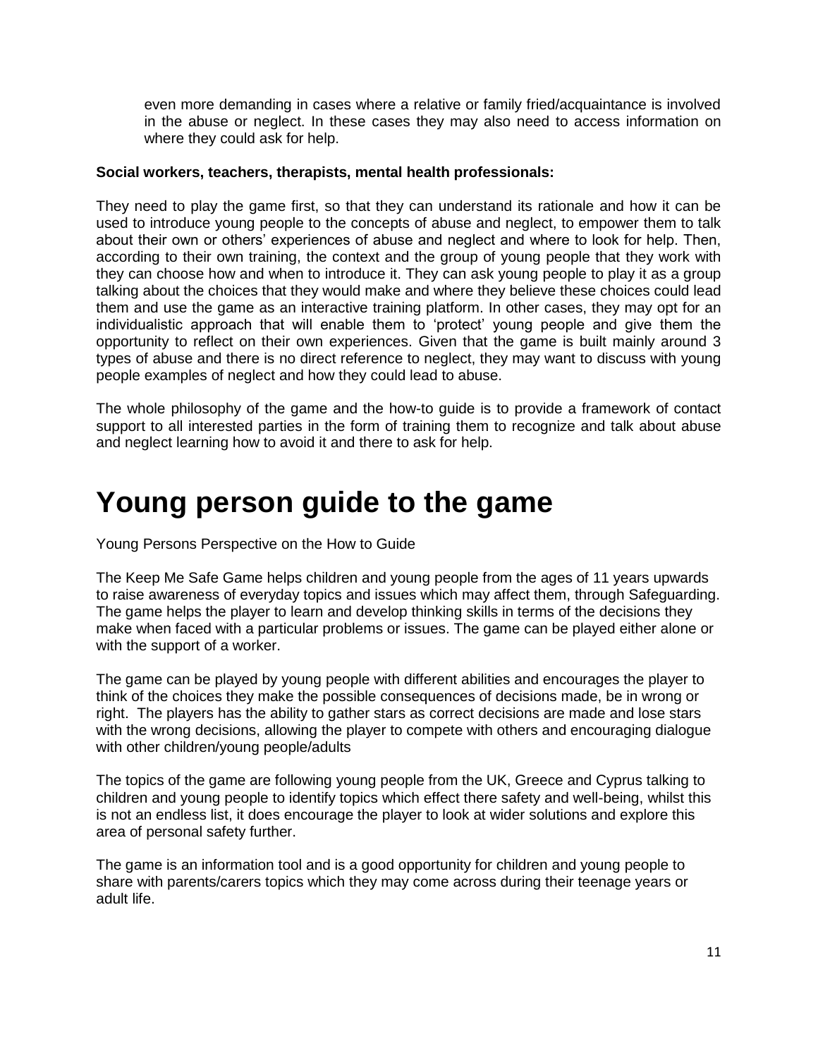even more demanding in cases where a relative or family fried/acquaintance is involved in the abuse or neglect. In these cases they may also need to access information on where they could ask for help.

#### **Social workers, teachers, therapists, mental health professionals:**

They need to play the game first, so that they can understand its rationale and how it can be used to introduce young people to the concepts of abuse and neglect, to empower them to talk about their own or others' experiences of abuse and neglect and where to look for help. Then, according to their own training, the context and the group of young people that they work with they can choose how and when to introduce it. They can ask young people to play it as a group talking about the choices that they would make and where they believe these choices could lead them and use the game as an interactive training platform. In other cases, they may opt for an individualistic approach that will enable them to 'protect' young people and give them the opportunity to reflect on their own experiences. Given that the game is built mainly around 3 types of abuse and there is no direct reference to neglect, they may want to discuss with young people examples of neglect and how they could lead to abuse.

The whole philosophy of the game and the how-to guide is to provide a framework of contact support to all interested parties in the form of training them to recognize and talk about abuse and neglect learning how to avoid it and there to ask for help.

# **Young person guide to the game**

Young Persons Perspective on the How to Guide

The Keep Me Safe Game helps children and young people from the ages of 11 years upwards to raise awareness of everyday topics and issues which may affect them, through Safeguarding. The game helps the player to learn and develop thinking skills in terms of the decisions they make when faced with a particular problems or issues. The game can be played either alone or with the support of a worker.

The game can be played by young people with different abilities and encourages the player to think of the choices they make the possible consequences of decisions made, be in wrong or right. The players has the ability to gather stars as correct decisions are made and lose stars with the wrong decisions, allowing the player to compete with others and encouraging dialogue with other children/young people/adults

The topics of the game are following young people from the UK, Greece and Cyprus talking to children and young people to identify topics which effect there safety and well-being, whilst this is not an endless list, it does encourage the player to look at wider solutions and explore this area of personal safety further.

The game is an information tool and is a good opportunity for children and young people to share with parents/carers topics which they may come across during their teenage years or adult life.